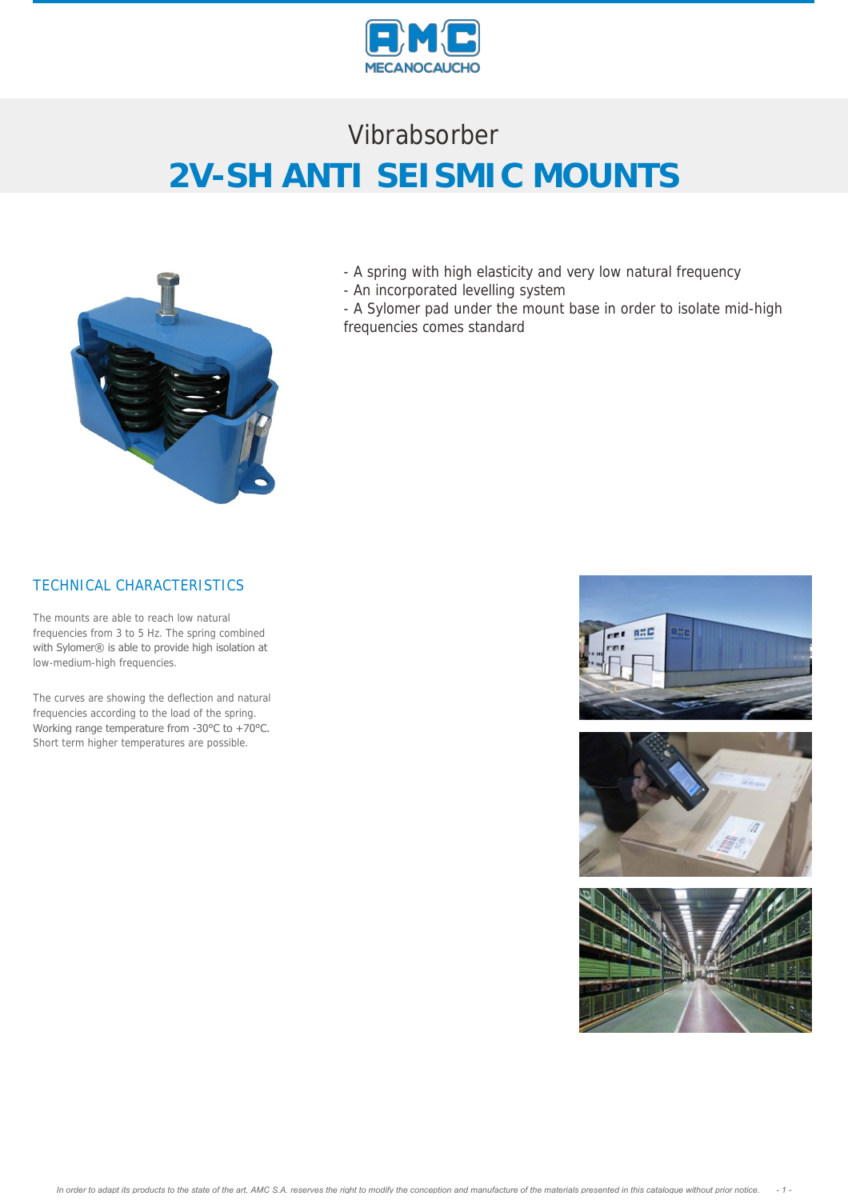

# Vibrabsorber **2V-SH ANTI SEISMIC MOUNTS**



- A spring with high elasticity and very low natural frequency
- An incorporated levelling system
- A Sylomer pad under the mount base in order to isolate mid-high frequencies comes standard

#### TECHNICAL CHARACTERISTICS

The mounts are able to reach low natural frequencies from 3 to 5 Hz. The spring combined with Sylomer® is able to provide high isolation at low-medium-high frequencies.

The curves are showing the deflection and natural frequencies according to the load of the spring. Working range temperature from -30°C to +70°C. Short term higher temperatures are possible.

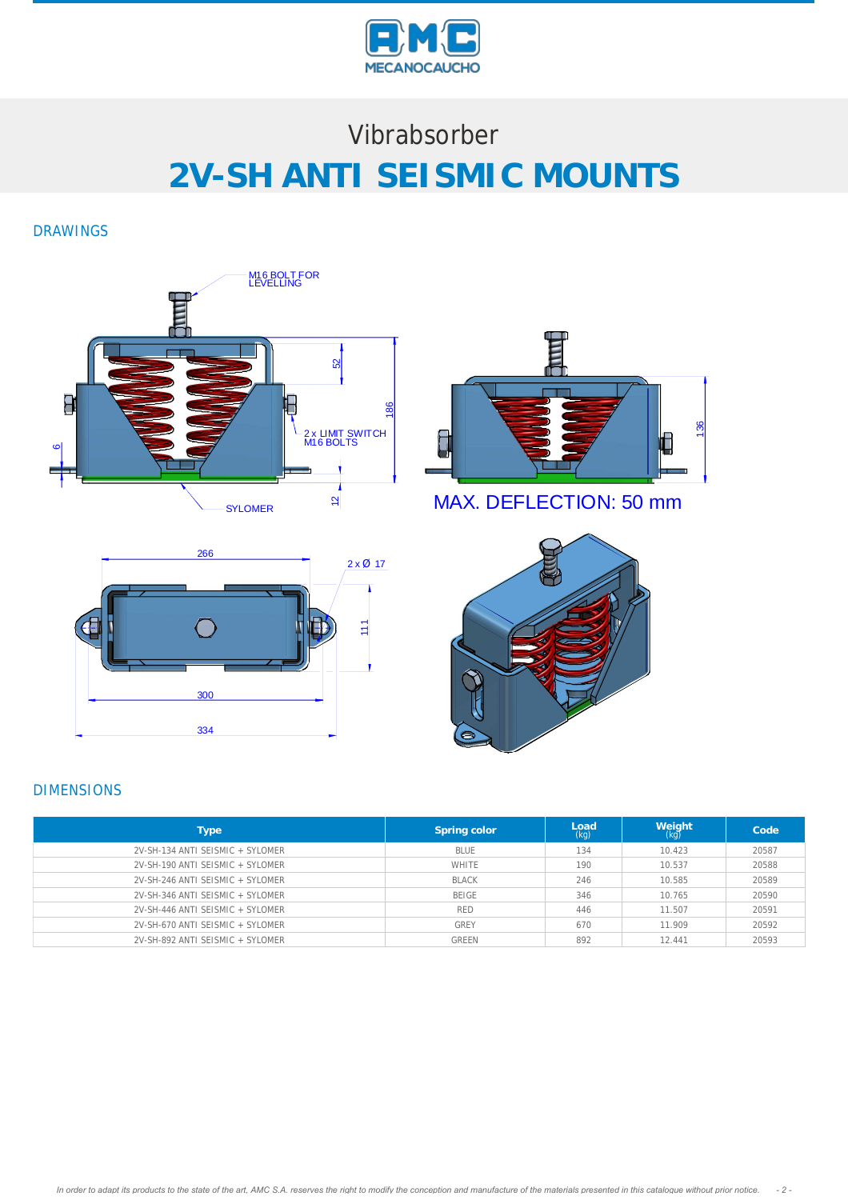

# Vibrabsorber **2V-SH ANTI SEISMIC MOUNTS**

DRAWINGS







MAX. DEFLECTION: 50 mm



#### DIMENSIONS

| Type                             | Spring color | Load<br>(kg) | Weight<br>(kg) | Code  |
|----------------------------------|--------------|--------------|----------------|-------|
| 2V-SH-134 ANTI SEISMIC + SYLOMER | BI UF        | 134          | 10.423         | 20587 |
| 2V-SH-190 ANTI SEISMIC + SYLOMER | WHITE        | 190          | 10.537         | 20588 |
| 2V-SH-246 ANTI SEISMIC + SYLOMER | <b>BLACK</b> | 246          | 10.585         | 20589 |
| 2V-SH-346 ANTI SEISMIC + SYLOMER | BEIGE        | 346          | 10.765         | 20590 |
| 2V-SH-446 ANTI SEISMIC + SYLOMER | <b>RED</b>   | 446          | 11.507         | 20591 |
| 2V-SH-670 ANTI SEISMIC + SYLOMER | <b>GREY</b>  | 670          | 11.909         | 20592 |
| 2V-SH-892 ANTI SEISMIC + SYLOMER | <b>GREEN</b> | 892          | 12.441         | 20593 |